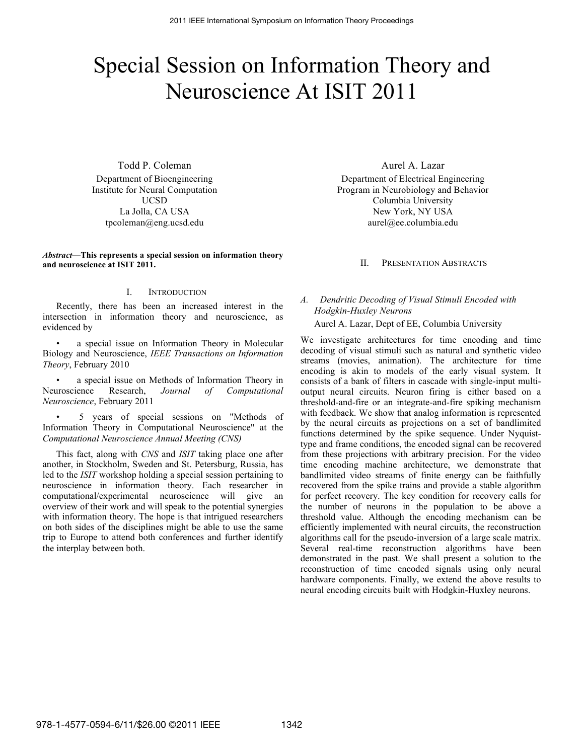# Special Session on Information Theory and Neuroscience At ISIT 2011

Todd P. Coleman Department of Bioengineering Institute for Neural Computation UCSD La Jolla, CA USA tpcoleman@eng.ucsd.edu

*Abstract***—This represents a special session on information theory and neuroscience at ISIT 2011.**

#### I. INTRODUCTION

Recently, there has been an increased interest in the intersection in information theory and neuroscience, as evidenced by

a special issue on Information Theory in Molecular Biology and Neuroscience, *IEEE Transactions on Information Theory*, February 2010

• a special issue on Methods of Information Theory in Neuroscience Research, *Journal of Computational Neuroscience*, February 2011

• 5 years of special sessions on "Methods of Information Theory in Computational Neuroscience" at the *Computational Neuroscience Annual Meeting (CNS)*

This fact, along with *CNS* and *ISIT* taking place one after another, in Stockholm, Sweden and St. Petersburg, Russia, has led to the *ISIT* workshop holding a special session pertaining to neuroscience in information theory. Each researcher in computational/experimental neuroscience will give an overview of their work and will speak to the potential synergies with information theory. The hope is that intrigued researchers on both sides of the disciplines might be able to use the same trip to Europe to attend both conferences and further identify the interplay between both.

Aurel A. Lazar Department of Electrical Engineering Program in Neurobiology and Behavior Columbia University New York, NY USA aurel@ee.columbia.edu

### II. PRESENTATION ABSTRACTS

# *A. Dendritic Decoding of Visual Stimuli Encoded with Hodgkin-Huxley Neurons*

Aurel A. Lazar, Dept of EE, Columbia University

We investigate architectures for time encoding and time decoding of visual stimuli such as natural and synthetic video streams (movies, animation). The architecture for time encoding is akin to models of the early visual system. It consists of a bank of filters in cascade with single-input multioutput neural circuits. Neuron firing is either based on a threshold-and-fire or an integrate-and-fire spiking mechanism with feedback. We show that analog information is represented by the neural circuits as projections on a set of bandlimited functions determined by the spike sequence. Under Nyquisttype and frame conditions, the encoded signal can be recovered from these projections with arbitrary precision. For the video time encoding machine architecture, we demonstrate that bandlimited video streams of finite energy can be faithfully recovered from the spike trains and provide a stable algorithm for perfect recovery. The key condition for recovery calls for the number of neurons in the population to be above a threshold value. Although the encoding mechanism can be efficiently implemented with neural circuits, the reconstruction algorithms call for the pseudo-inversion of a large scale matrix. Several real-time reconstruction algorithms have been demonstrated in the past. We shall present a solution to the reconstruction of time encoded signals using only neural hardware components. Finally, we extend the above results to neural encoding circuits built with Hodgkin-Huxley neurons.